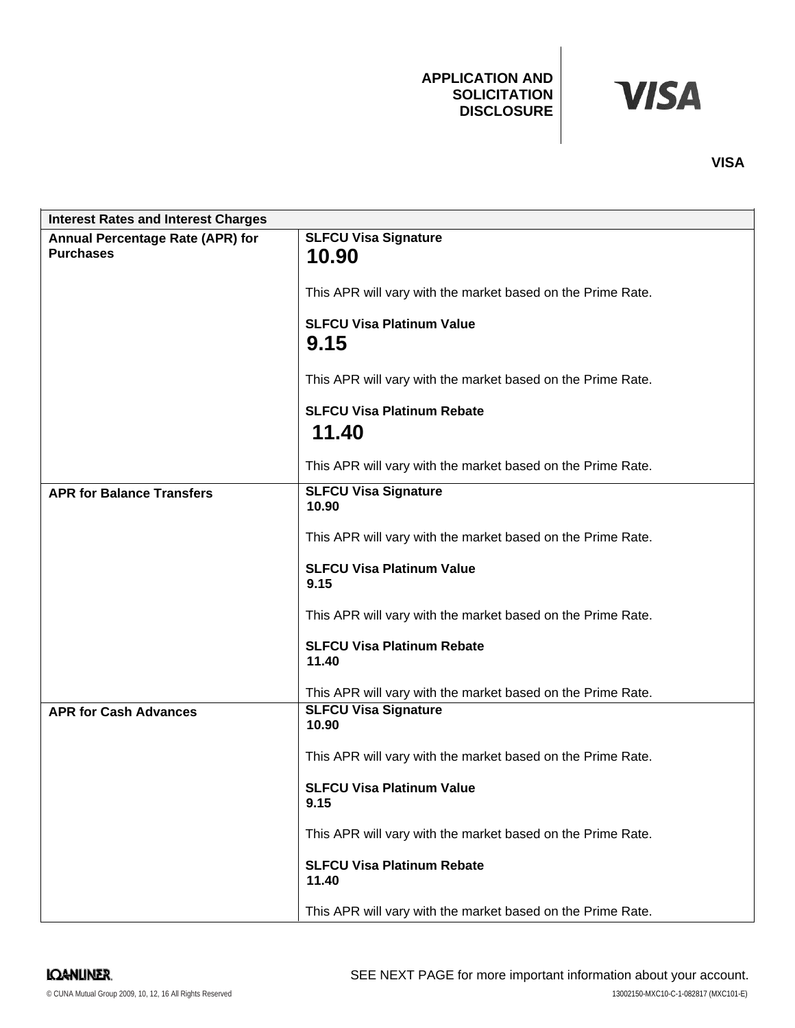### **APPLICATION AND SOLICITATION DISCLOSURE**

# **VISA**

| <b>Interest Rates and Interest Charges</b> |                                                             |
|--------------------------------------------|-------------------------------------------------------------|
| Annual Percentage Rate (APR) for           | <b>SLFCU Visa Signature</b>                                 |
| <b>Purchases</b>                           | 10.90                                                       |
|                                            | This APR will vary with the market based on the Prime Rate. |
|                                            | <b>SLFCU Visa Platinum Value</b>                            |
|                                            | 9.15                                                        |
|                                            | This APR will vary with the market based on the Prime Rate. |
|                                            | <b>SLFCU Visa Platinum Rebate</b>                           |
|                                            | 11.40                                                       |
|                                            | This APR will vary with the market based on the Prime Rate. |
| <b>APR for Balance Transfers</b>           | <b>SLFCU Visa Signature</b><br>10.90                        |
|                                            | This APR will vary with the market based on the Prime Rate. |
|                                            | <b>SLFCU Visa Platinum Value</b><br>9.15                    |
|                                            | This APR will vary with the market based on the Prime Rate. |
|                                            | <b>SLFCU Visa Platinum Rebate</b><br>11.40                  |
|                                            | This APR will vary with the market based on the Prime Rate. |
| <b>APR for Cash Advances</b>               | <b>SLFCU Visa Signature</b><br>10.90                        |
|                                            | This APR will vary with the market based on the Prime Rate. |
|                                            | <b>SLFCU Visa Platinum Value</b><br>9.15                    |
|                                            | This APR will vary with the market based on the Prime Rate. |
|                                            | <b>SLFCU Visa Platinum Rebate</b><br>11.40                  |
|                                            | This APR will vary with the market based on the Prime Rate. |